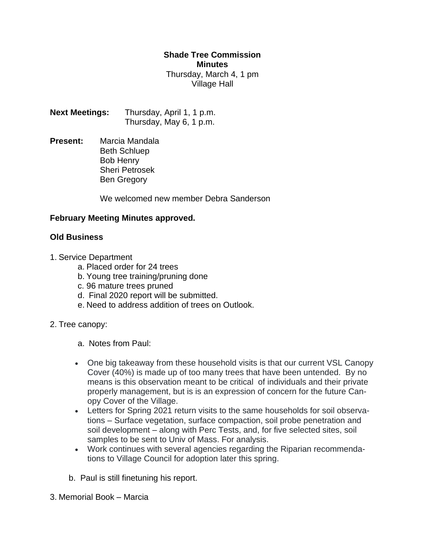## **Shade Tree Commission Minutes** Thursday, March 4, 1 pm Village Hall

**Next Meetings:** Thursday, April 1, 1 p.m. Thursday, May 6, 1 p.m.

**Present:** Marcia Mandala Beth Schluep Bob Henry Sheri Petrosek Ben Gregory

We welcomed new member Debra Sanderson

## **February Meeting Minutes approved.**

## **Old Business**

- 1. Service Department
	- a. Placed order for 24 trees
	- b. Young tree training/pruning done
	- c. 96 mature trees pruned
	- d. Final 2020 report will be submitted.
	- e. Need to address addition of trees on Outlook.
- 2. Tree canopy:
	- a. Notes from Paul:
	- One big takeaway from these household visits is that our current VSL Canopy Cover (40%) is made up of too many trees that have been untended. By no means is this observation meant to be critical of individuals and their private properly management, but is is an expression of concern for the future Canopy Cover of the Village.
	- Letters for Spring 2021 return visits to the same households for soil observations – Surface vegetation, surface compaction, soil probe penetration and soil development – along with Perc Tests, and, for five selected sites, soil samples to be sent to Univ of Mass. For analysis.
	- Work continues with several agencies regarding the Riparian recommendations to Village Council for adoption later this spring.
	- b. Paul is still finetuning his report.
- 3. Memorial Book Marcia